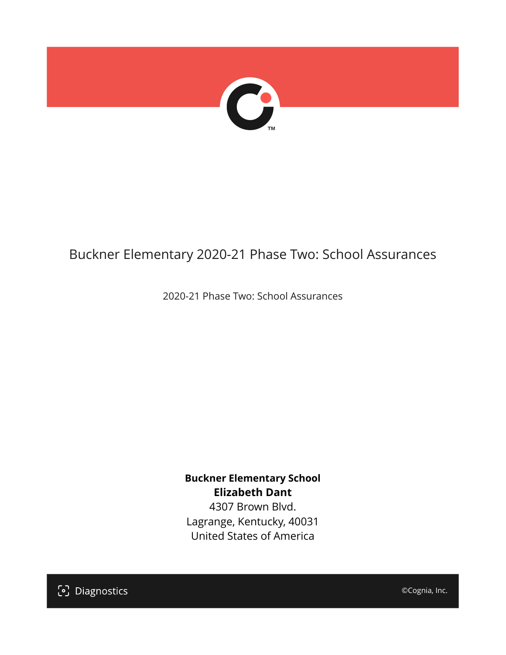

# Buckner Elementary 2020-21 Phase Two: School Assurances

2020-21 Phase Two: School Assurances

**Buckner Elementary School Elizabeth Dant** 4307 Brown Blvd. Lagrange, Kentucky, 40031 United States of America

[၁] Diagnostics

©Cognia, Inc.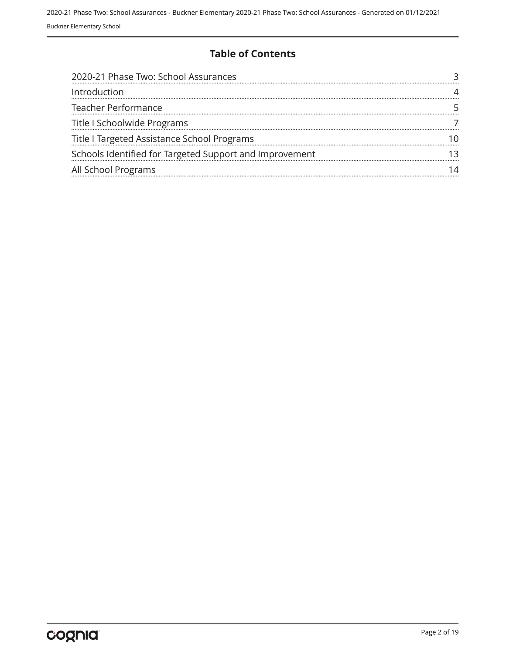### **Table of Contents**

| 2020-21 Phase Two: School Assurances                    |  |
|---------------------------------------------------------|--|
| Introduction                                            |  |
| <b>Teacher Performance</b>                              |  |
| Title I Schoolwide Programs                             |  |
| Title I Targeted Assistance School Programs             |  |
| Schools Identified for Targeted Support and Improvement |  |
| All School Programs                                     |  |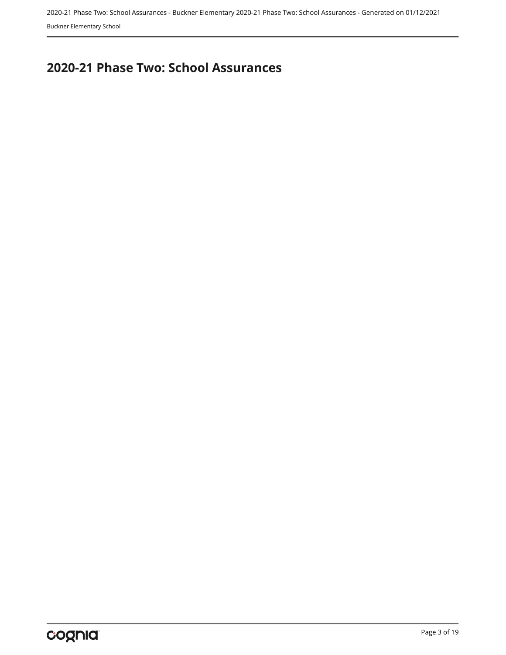## <span id="page-2-0"></span>**2020-21 Phase Two: School Assurances**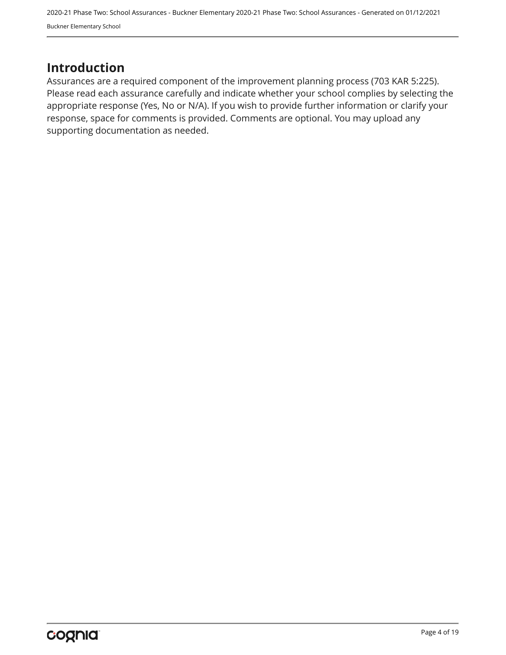## <span id="page-3-0"></span>**Introduction**

Assurances are a required component of the improvement planning process (703 KAR 5:225). Please read each assurance carefully and indicate whether your school complies by selecting the appropriate response (Yes, No or N/A). If you wish to provide further information or clarify your response, space for comments is provided. Comments are optional. You may upload any supporting documentation as needed.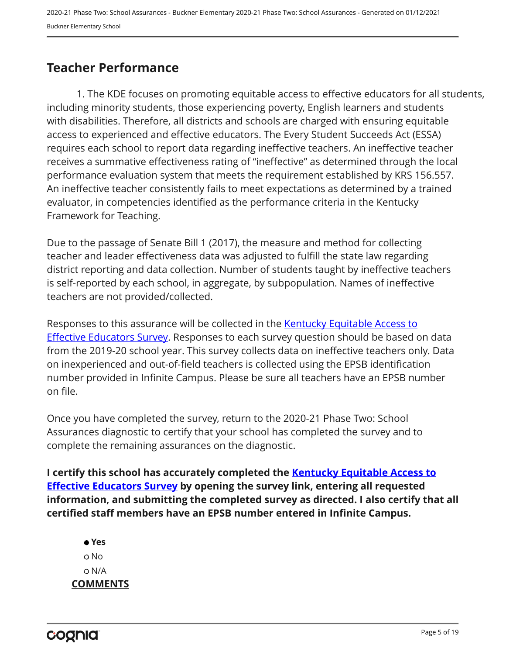## <span id="page-4-0"></span>**Teacher Performance**

1. The KDE focuses on promoting equitable access to effective educators for all students, including minority students, those experiencing poverty, English learners and students with disabilities. Therefore, all districts and schools are charged with ensuring equitable access to experienced and effective educators. The Every Student Succeeds Act (ESSA) requires each school to report data regarding ineffective teachers. An ineffective teacher receives a summative effectiveness rating of "ineffective" as determined through the local performance evaluation system that meets the requirement established by KRS 156.557. An ineffective teacher consistently fails to meet expectations as determined by a trained evaluator, in competencies identified as the performance criteria in the Kentucky Framework for Teaching.

Due to the passage of Senate Bill 1 (2017), the measure and method for collecting teacher and leader effectiveness data was adjusted to fulfill the state law regarding district reporting and data collection. Number of students taught by ineffective teachers is self-reported by each school, in aggregate, by subpopulation. Names of ineffective teachers are not provided/collected.

Responses to this assurance will be collected in the [Kentucky Equitable Access to](https://www.surveymonkey.com/r/PNPMCCV) **[Effective Educators Survey](https://www.surveymonkey.com/r/PNPMCCV).** Responses to each survey question should be based on data from the 2019-20 school year. This survey collects data on ineffective teachers only. Data on inexperienced and out-of-field teachers is collected using the EPSB identification number provided in Infinite Campus. Please be sure all teachers have an EPSB number on file.

Once you have completed the survey, return to the 2020-21 Phase Two: School Assurances diagnostic to certify that your school has completed the survey and to complete the remaining assurances on the diagnostic.

**I certify this school has accurately completed the [Kentucky Equitable Access to](https://www.surveymonkey.com/r/PNPMCCV) [Effective Educators Survey](https://www.surveymonkey.com/r/PNPMCCV) by opening the survey link, entering all requested information, and submitting the completed survey as directed. I also certify that all certified staff members have an EPSB number entered in Infinite Campus.**

 **Yes** No N/A **COMMENTS**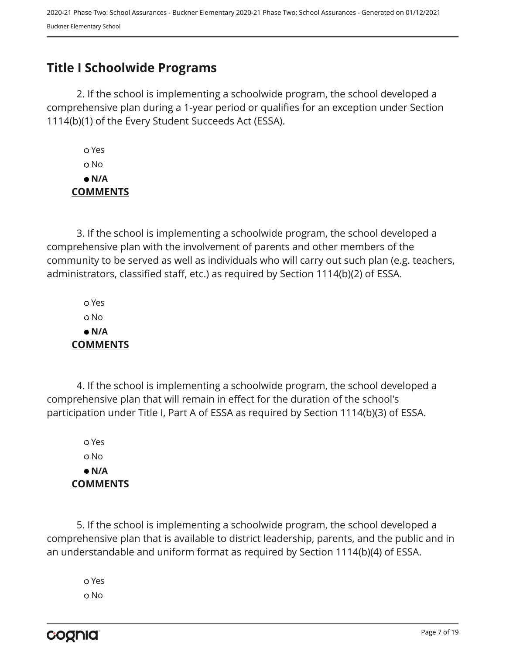## <span id="page-6-0"></span>**Title I Schoolwide Programs**

2. If the school is implementing a schoolwide program, the school developed a comprehensive plan during a 1-year period or qualifies for an exception under Section 1114(b)(1) of the Every Student Succeeds Act (ESSA).

 Yes No  **N/A COMMENTS**

3. If the school is implementing a schoolwide program, the school developed a comprehensive plan with the involvement of parents and other members of the community to be served as well as individuals who will carry out such plan (e.g. teachers, administrators, classified staff, etc.) as required by Section 1114(b)(2) of ESSA.

 Yes No  **N/A COMMENTS**

4. If the school is implementing a schoolwide program, the school developed a comprehensive plan that will remain in effect for the duration of the school's participation under Title I, Part A of ESSA as required by Section 1114(b)(3) of ESSA.

 Yes No  **N/A COMMENTS**

5. If the school is implementing a schoolwide program, the school developed a comprehensive plan that is available to district leadership, parents, and the public and in an understandable and uniform format as required by Section 1114(b)(4) of ESSA.

 Yes o No

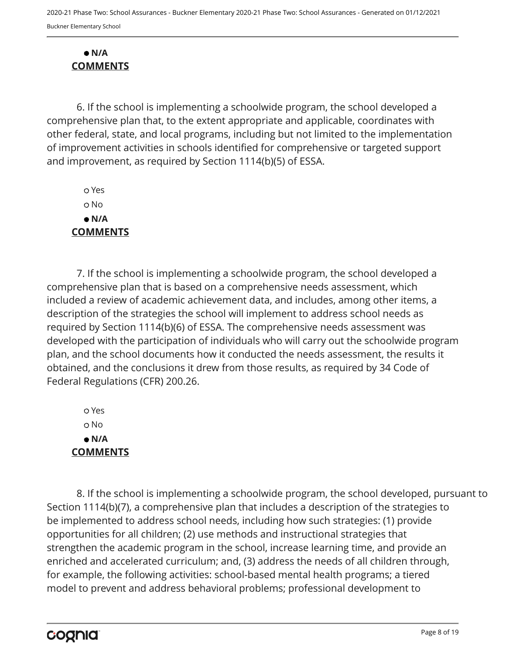#### **N/A COMMENTS**

6. If the school is implementing a schoolwide program, the school developed a comprehensive plan that, to the extent appropriate and applicable, coordinates with other federal, state, and local programs, including but not limited to the implementation of improvement activities in schools identified for comprehensive or targeted support and improvement, as required by Section 1114(b)(5) of ESSA.

 Yes o No  **N/A COMMENTS**

7. If the school is implementing a schoolwide program, the school developed a comprehensive plan that is based on a comprehensive needs assessment, which included a review of academic achievement data, and includes, among other items, a description of the strategies the school will implement to address school needs as required by Section 1114(b)(6) of ESSA. The comprehensive needs assessment was developed with the participation of individuals who will carry out the schoolwide program plan, and the school documents how it conducted the needs assessment, the results it obtained, and the conclusions it drew from those results, as required by 34 Code of Federal Regulations (CFR) 200.26.

 Yes o No  **N/A COMMENTS**

8. If the school is implementing a schoolwide program, the school developed, pursuant to Section 1114(b)(7), a comprehensive plan that includes a description of the strategies to be implemented to address school needs, including how such strategies: (1) provide opportunities for all children; (2) use methods and instructional strategies that strengthen the academic program in the school, increase learning time, and provide an enriched and accelerated curriculum; and, (3) address the needs of all children through, for example, the following activities: school-based mental health programs; a tiered model to prevent and address behavioral problems; professional development to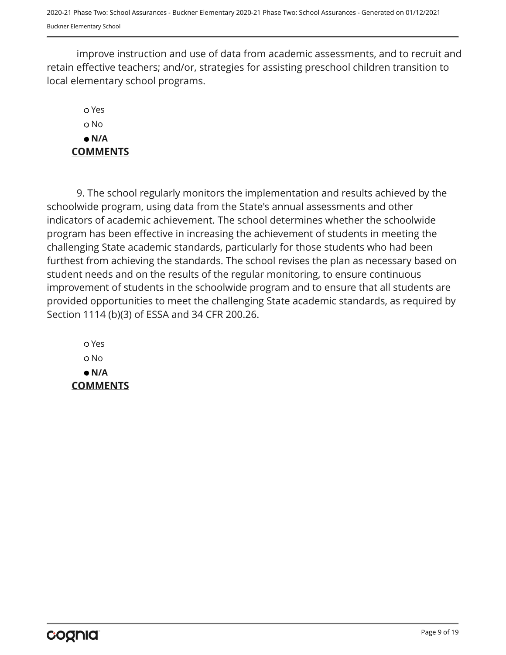improve instruction and use of data from academic assessments, and to recruit and retain effective teachers; and/or, strategies for assisting preschool children transition to local elementary school programs.

## Yes o No  **N/A COMMENTS**

9. The school regularly monitors the implementation and results achieved by the schoolwide program, using data from the State's annual assessments and other indicators of academic achievement. The school determines whether the schoolwide program has been effective in increasing the achievement of students in meeting the challenging State academic standards, particularly for those students who had been furthest from achieving the standards. The school revises the plan as necessary based on student needs and on the results of the regular monitoring, to ensure continuous improvement of students in the schoolwide program and to ensure that all students are provided opportunities to meet the challenging State academic standards, as required by Section 1114 (b)(3) of ESSA and 34 CFR 200.26.

 Yes o No  **N/A COMMENTS**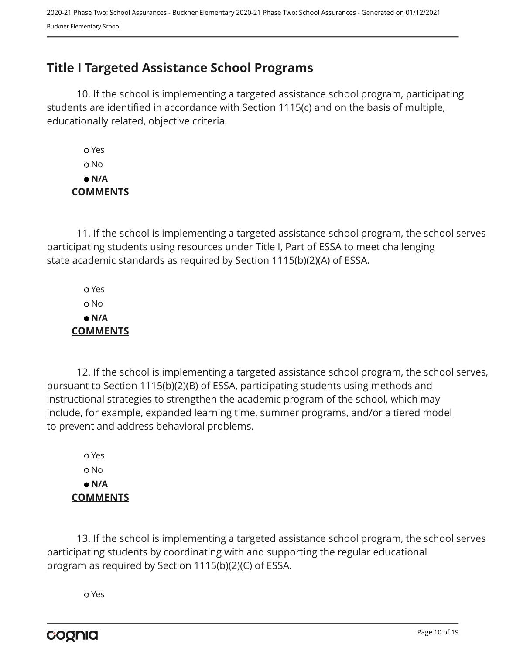## <span id="page-9-0"></span>**Title I Targeted Assistance School Programs**

10. If the school is implementing a targeted assistance school program, participating students are identified in accordance with Section 1115(c) and on the basis of multiple, educationally related, objective criteria.

 Yes o No  **N/A COMMENTS**

11. If the school is implementing a targeted assistance school program, the school serves participating students using resources under Title I, Part of ESSA to meet challenging state academic standards as required by Section 1115(b)(2)(A) of ESSA.

 Yes No  **N/A COMMENTS**

12. If the school is implementing a targeted assistance school program, the school serves, pursuant to Section 1115(b)(2)(B) of ESSA, participating students using methods and instructional strategies to strengthen the academic program of the school, which may include, for example, expanded learning time, summer programs, and/or a tiered model to prevent and address behavioral problems.

 Yes o No  **N/A COMMENTS**

13. If the school is implementing a targeted assistance school program, the school serves participating students by coordinating with and supporting the regular educational program as required by Section 1115(b)(2)(C) of ESSA.

Yes

cognia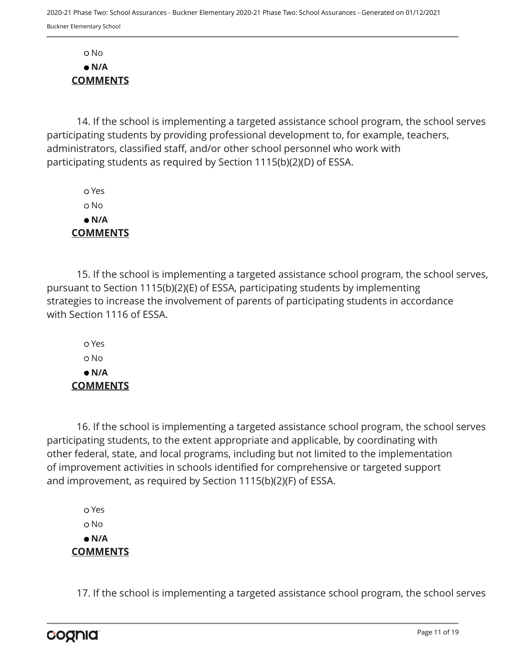No  **N/A COMMENTS**

14. If the school is implementing a targeted assistance school program, the school serves participating students by providing professional development to, for example, teachers, administrators, classified staff, and/or other school personnel who work with participating students as required by Section 1115(b)(2)(D) of ESSA.

 Yes o No  **N/A COMMENTS**

15. If the school is implementing a targeted assistance school program, the school serves, pursuant to Section 1115(b)(2)(E) of ESSA, participating students by implementing strategies to increase the involvement of parents of participating students in accordance with Section 1116 of ESSA.

 Yes o No  **N/A COMMENTS**

16. If the school is implementing a targeted assistance school program, the school serves participating students, to the extent appropriate and applicable, by coordinating with other federal, state, and local programs, including but not limited to the implementation of improvement activities in schools identified for comprehensive or targeted support and improvement, as required by Section 1115(b)(2)(F) of ESSA.

 Yes o No  **N/A COMMENTS**

17. If the school is implementing a targeted assistance school program, the school serves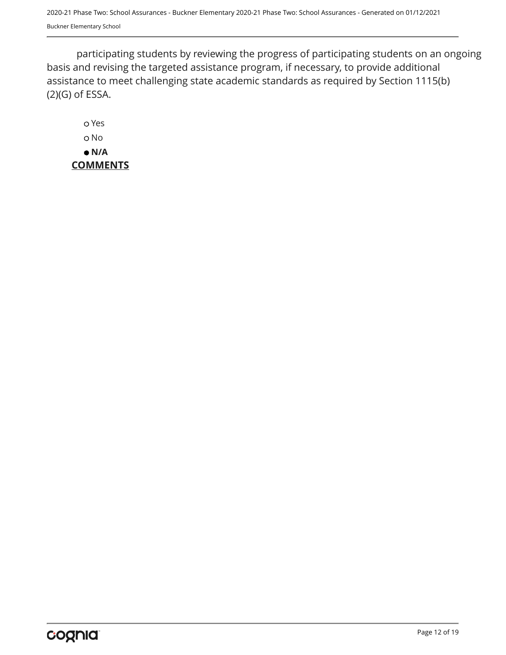participating students by reviewing the progress of participating students on an ongoing basis and revising the targeted assistance program, if necessary, to provide additional assistance to meet challenging state academic standards as required by Section 1115(b) (2)(G) of ESSA.

 Yes o No  **N/A COMMENTS**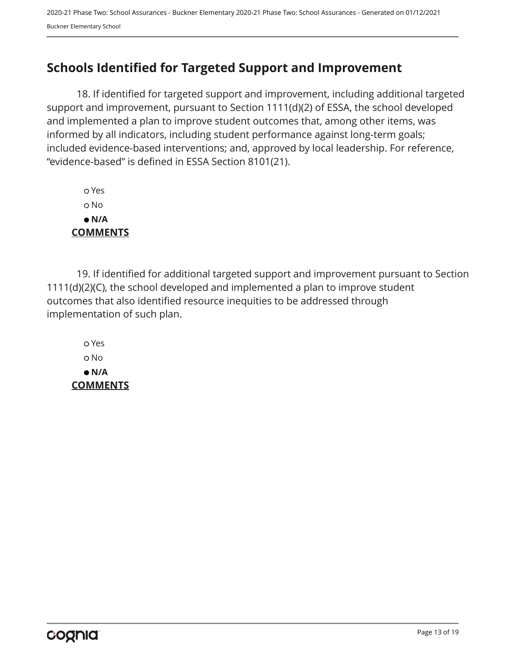# <span id="page-12-0"></span>**Schools Identified for Targeted Support and Improvement**

18. If identified for targeted support and improvement, including additional targeted support and improvement, pursuant to Section 1111(d)(2) of ESSA, the school developed and implemented a plan to improve student outcomes that, among other items, was informed by all indicators, including student performance against long-term goals; included evidence-based interventions; and, approved by local leadership. For reference, "evidence-based" is defined in ESSA Section 8101(21).

 Yes No  **N/A COMMENTS**

19. If identified for additional targeted support and improvement pursuant to Section 1111(d)(2)(C), the school developed and implemented a plan to improve student outcomes that also identified resource inequities to be addressed through implementation of such plan.

 Yes No  **N/A COMMENTS**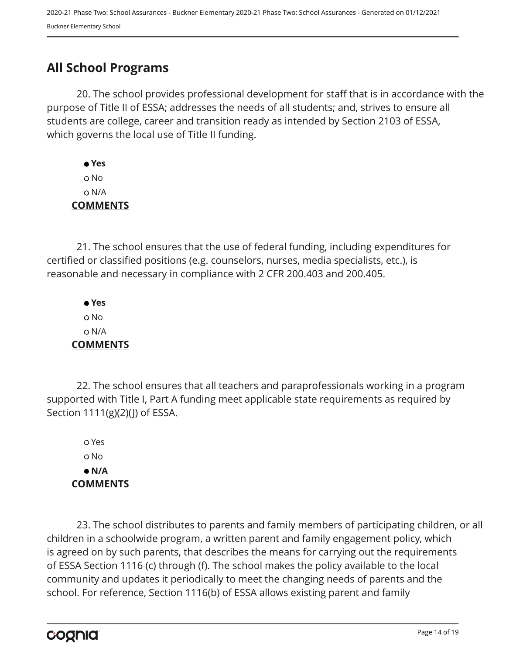# <span id="page-13-0"></span>**All School Programs**

20. The school provides professional development for staff that is in accordance with the purpose of Title II of ESSA; addresses the needs of all students; and, strives to ensure all students are college, career and transition ready as intended by Section 2103 of ESSA, which governs the local use of Title II funding.

 **Yes** No N/A **COMMENTS**

21. The school ensures that the use of federal funding, including expenditures for certified or classified positions (e.g. counselors, nurses, media specialists, etc.), is reasonable and necessary in compliance with 2 CFR 200.403 and 200.405.

 **Yes** No N/A **COMMENTS**

22. The school ensures that all teachers and paraprofessionals working in a program supported with Title I, Part A funding meet applicable state requirements as required by Section 1111(g)(2)(J) of ESSA.

 Yes No  **N/A COMMENTS**

23. The school distributes to parents and family members of participating children, or all children in a schoolwide program, a written parent and family engagement policy, which is agreed on by such parents, that describes the means for carrying out the requirements of ESSA Section 1116 (c) through (f). The school makes the policy available to the local community and updates it periodically to meet the changing needs of parents and the school. For reference, Section 1116(b) of ESSA allows existing parent and family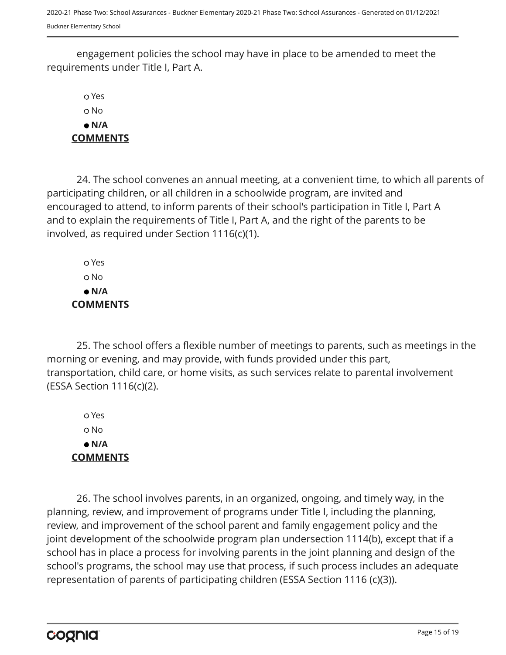engagement policies the school may have in place to be amended to meet the requirements under Title I, Part A.

 Yes No  **N/A COMMENTS**

24. The school convenes an annual meeting, at a convenient time, to which all parents of participating children, or all children in a schoolwide program, are invited and encouraged to attend, to inform parents of their school's participation in Title I, Part A and to explain the requirements of Title I, Part A, and the right of the parents to be involved, as required under Section 1116(c)(1).

 Yes No  **N/A COMMENTS**

25. The school offers a flexible number of meetings to parents, such as meetings in the morning or evening, and may provide, with funds provided under this part, transportation, child care, or home visits, as such services relate to parental involvement (ESSA Section 1116(c)(2).

 Yes No  **N/A COMMENTS**

26. The school involves parents, in an organized, ongoing, and timely way, in the planning, review, and improvement of programs under Title I, including the planning, review, and improvement of the school parent and family engagement policy and the joint development of the schoolwide program plan undersection 1114(b), except that if a school has in place a process for involving parents in the joint planning and design of the school's programs, the school may use that process, if such process includes an adequate representation of parents of participating children (ESSA Section 1116 (c)(3)).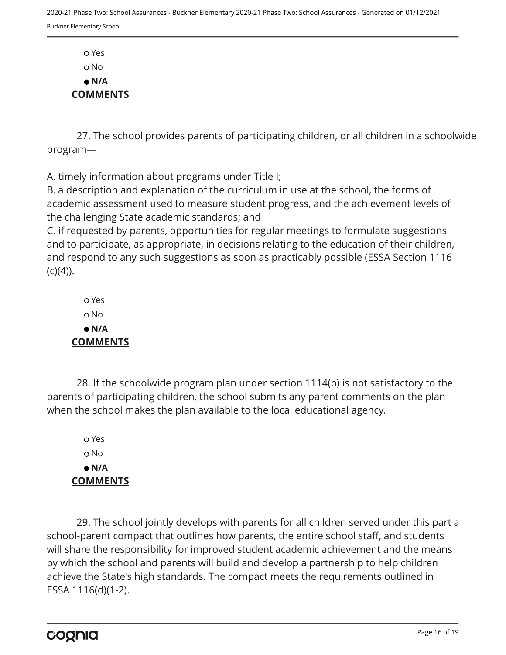Yes o No  **N/A COMMENTS**

27. The school provides parents of participating children, or all children in a schoolwide program—

A. timely information about programs under Title I;

B. a description and explanation of the curriculum in use at the school, the forms of academic assessment used to measure student progress, and the achievement levels of the challenging State academic standards; and

C. if requested by parents, opportunities for regular meetings to formulate suggestions and to participate, as appropriate, in decisions relating to the education of their children, and respond to any such suggestions as soon as practicably possible (ESSA Section 1116  $(C)(4)$ ).

 Yes No  **N/A COMMENTS**

28. If the schoolwide program plan under section 1114(b) is not satisfactory to the parents of participating children, the school submits any parent comments on the plan when the school makes the plan available to the local educational agency.

 Yes o No  **N/A COMMENTS**

29. The school jointly develops with parents for all children served under this part a school-parent compact that outlines how parents, the entire school staff, and students will share the responsibility for improved student academic achievement and the means by which the school and parents will build and develop a partnership to help children achieve the State's high standards. The compact meets the requirements outlined in ESSA 1116(d)(1-2).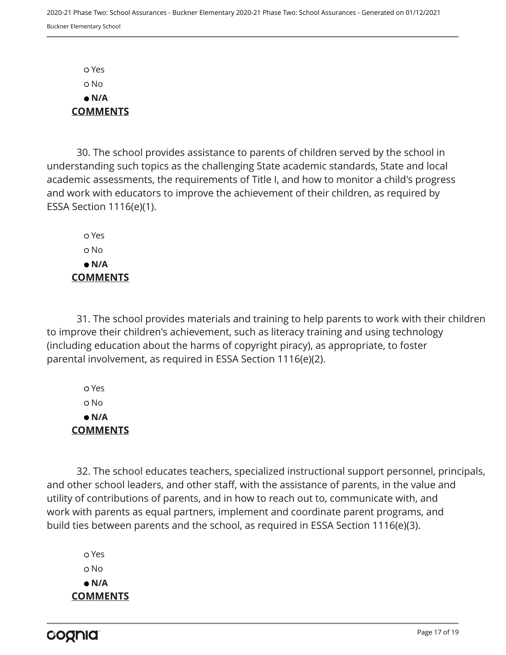Yes No  **N/A COMMENTS**

30. The school provides assistance to parents of children served by the school in understanding such topics as the challenging State academic standards, State and local academic assessments, the requirements of Title I, and how to monitor a child's progress and work with educators to improve the achievement of their children, as required by ESSA Section 1116(e)(1).

 Yes o No  **N/A COMMENTS**

31. The school provides materials and training to help parents to work with their children to improve their children's achievement, such as literacy training and using technology (including education about the harms of copyright piracy), as appropriate, to foster parental involvement, as required in ESSA Section 1116(e)(2).

 Yes No  **N/A COMMENTS**

32. The school educates teachers, specialized instructional support personnel, principals, and other school leaders, and other staff, with the assistance of parents, in the value and utility of contributions of parents, and in how to reach out to, communicate with, and work with parents as equal partners, implement and coordinate parent programs, and build ties between parents and the school, as required in ESSA Section 1116(e)(3).

 Yes o No  **N/A COMMENTS**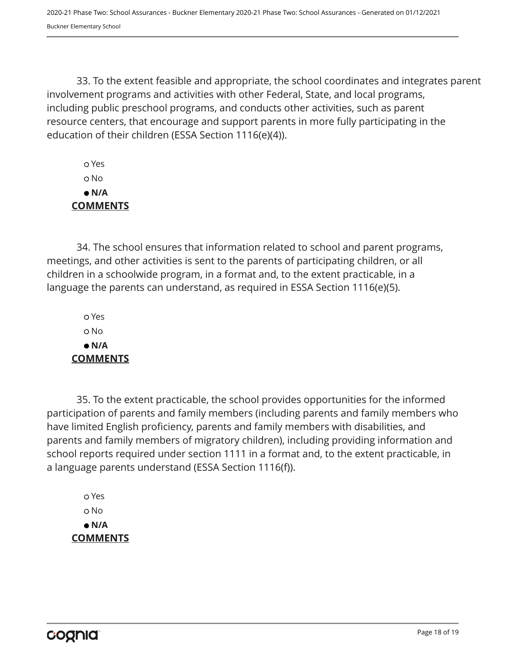33. To the extent feasible and appropriate, the school coordinates and integrates parent involvement programs and activities with other Federal, State, and local programs, including public preschool programs, and conducts other activities, such as parent resource centers, that encourage and support parents in more fully participating in the education of their children (ESSA Section 1116(e)(4)).

 Yes No  **N/A COMMENTS**

34. The school ensures that information related to school and parent programs, meetings, and other activities is sent to the parents of participating children, or all children in a schoolwide program, in a format and, to the extent practicable, in a language the parents can understand, as required in ESSA Section 1116(e)(5).

 Yes o No  **N/A COMMENTS**

35. To the extent practicable, the school provides opportunities for the informed participation of parents and family members (including parents and family members who have limited English proficiency, parents and family members with disabilities, and parents and family members of migratory children), including providing information and school reports required under section 1111 in a format and, to the extent practicable, in a language parents understand (ESSA Section 1116(f)).

 Yes No  **N/A COMMENTS**